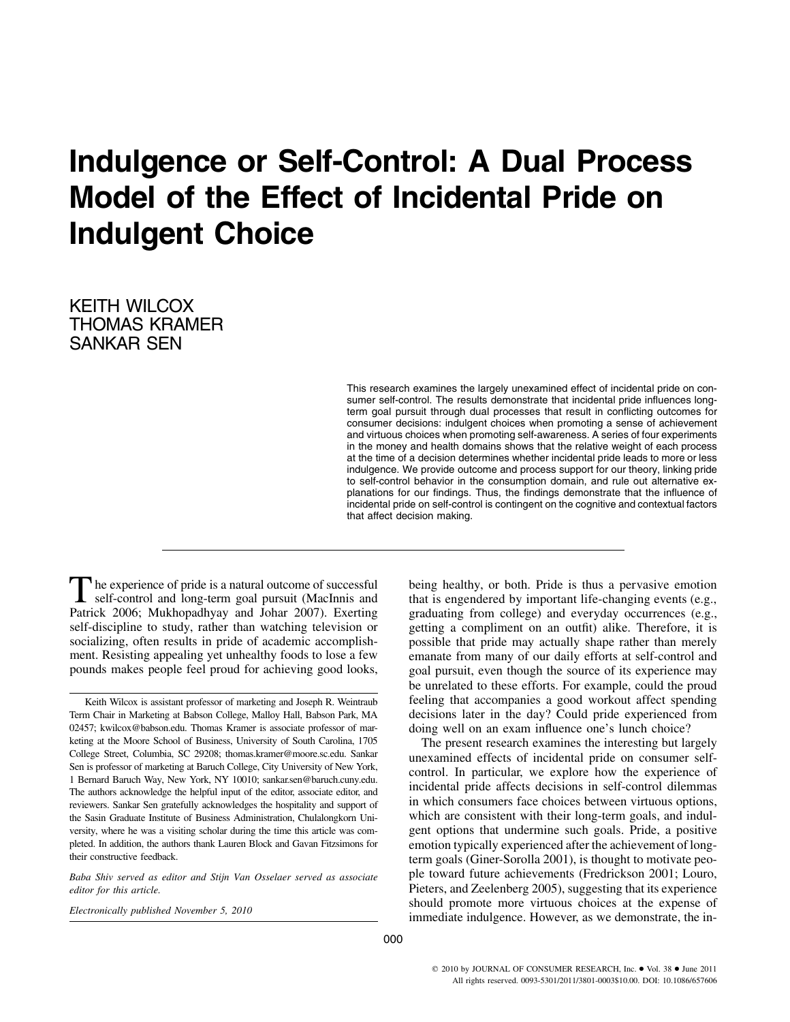# **Indulgence or Self-Control: A Dual Process Model of the Effect of Incidental Pride on Indulgent Choice**

KEITH WILCOX THOMAS KRAMER SANKAR SEN

> This research examines the largely unexamined effect of incidental pride on consumer self-control. The results demonstrate that incidental pride influences longterm goal pursuit through dual processes that result in conflicting outcomes for consumer decisions: indulgent choices when promoting a sense of achievement and virtuous choices when promoting self-awareness. A series of four experiments in the money and health domains shows that the relative weight of each process at the time of a decision determines whether incidental pride leads to more or less indulgence. We provide outcome and process support for our theory, linking pride to self-control behavior in the consumption domain, and rule out alternative explanations for our findings. Thus, the findings demonstrate that the influence of incidental pride on self-control is contingent on the cognitive and contextual factors that affect decision making.

The experience of pride is a natural outcome of successful self-control and long-term goal pursuit (MacInnis and Patrick 2006; Mukhopadhyay and Johar 2007). Exerting self-discipline to study, rather than watching television or socializing, often results in pride of academic accomplishment. Resisting appealing yet unhealthy foods to lose a few pounds makes people feel proud for achieving good looks,

Keith Wilcox is assistant professor of marketing and Joseph R. Weintraub Term Chair in Marketing at Babson College, Malloy Hall, Babson Park, MA 02457; kwilcox@babson.edu. Thomas Kramer is associate professor of marketing at the Moore School of Business, University of South Carolina, 1705 College Street, Columbia, SC 29208; thomas.kramer@moore.sc.edu. Sankar Sen is professor of marketing at Baruch College, City University of New York, 1 Bernard Baruch Way, New York, NY 10010; sankar.sen@baruch.cuny.edu. The authors acknowledge the helpful input of the editor, associate editor, and reviewers. Sankar Sen gratefully acknowledges the hospitality and support of the Sasin Graduate Institute of Business Administration, Chulalongkorn University, where he was a visiting scholar during the time this article was completed. In addition, the authors thank Lauren Block and Gavan Fitzsimons for their constructive feedback.

*Baba Shiv served as editor and Stijn Van Osselaer served as associate editor for this article.*

*Electronically published November 5, 2010*

being healthy, or both. Pride is thus a pervasive emotion that is engendered by important life-changing events (e.g., graduating from college) and everyday occurrences (e.g., getting a compliment on an outfit) alike. Therefore, it is possible that pride may actually shape rather than merely emanate from many of our daily efforts at self-control and goal pursuit, even though the source of its experience may be unrelated to these efforts. For example, could the proud feeling that accompanies a good workout affect spending decisions later in the day? Could pride experienced from doing well on an exam influence one's lunch choice?

The present research examines the interesting but largely unexamined effects of incidental pride on consumer selfcontrol. In particular, we explore how the experience of incidental pride affects decisions in self-control dilemmas in which consumers face choices between virtuous options, which are consistent with their long-term goals, and indulgent options that undermine such goals. Pride, a positive emotion typically experienced after the achievement of longterm goals (Giner-Sorolla 2001), is thought to motivate people toward future achievements (Fredrickson 2001; Louro, Pieters, and Zeelenberg 2005), suggesting that its experience should promote more virtuous choices at the expense of immediate indulgence. However, as we demonstrate, the in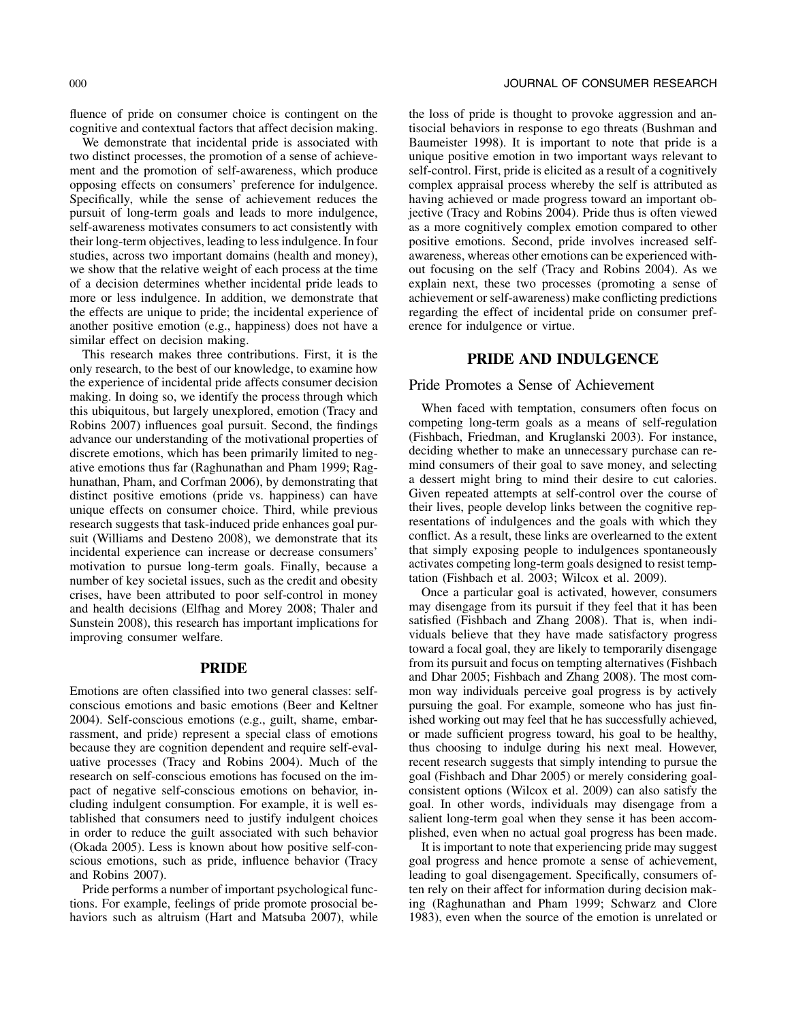fluence of pride on consumer choice is contingent on the cognitive and contextual factors that affect decision making.

We demonstrate that incidental pride is associated with two distinct processes, the promotion of a sense of achievement and the promotion of self-awareness, which produce opposing effects on consumers' preference for indulgence. Specifically, while the sense of achievement reduces the pursuit of long-term goals and leads to more indulgence, self-awareness motivates consumers to act consistently with their long-term objectives, leading to less indulgence. In four studies, across two important domains (health and money), we show that the relative weight of each process at the time of a decision determines whether incidental pride leads to more or less indulgence. In addition, we demonstrate that the effects are unique to pride; the incidental experience of another positive emotion (e.g., happiness) does not have a similar effect on decision making.

This research makes three contributions. First, it is the only research, to the best of our knowledge, to examine how the experience of incidental pride affects consumer decision making. In doing so, we identify the process through which this ubiquitous, but largely unexplored, emotion (Tracy and Robins 2007) influences goal pursuit. Second, the findings advance our understanding of the motivational properties of discrete emotions, which has been primarily limited to negative emotions thus far (Raghunathan and Pham 1999; Raghunathan, Pham, and Corfman 2006), by demonstrating that distinct positive emotions (pride vs. happiness) can have unique effects on consumer choice. Third, while previous research suggests that task-induced pride enhances goal pursuit (Williams and Desteno 2008), we demonstrate that its incidental experience can increase or decrease consumers' motivation to pursue long-term goals. Finally, because a number of key societal issues, such as the credit and obesity crises, have been attributed to poor self-control in money and health decisions (Elfhag and Morey 2008; Thaler and Sunstein 2008), this research has important implications for improving consumer welfare.

## **PRIDE**

Emotions are often classified into two general classes: selfconscious emotions and basic emotions (Beer and Keltner 2004). Self-conscious emotions (e.g., guilt, shame, embarrassment, and pride) represent a special class of emotions because they are cognition dependent and require self-evaluative processes (Tracy and Robins 2004). Much of the research on self-conscious emotions has focused on the impact of negative self-conscious emotions on behavior, including indulgent consumption. For example, it is well established that consumers need to justify indulgent choices in order to reduce the guilt associated with such behavior (Okada 2005). Less is known about how positive self-conscious emotions, such as pride, influence behavior (Tracy and Robins 2007).

Pride performs a number of important psychological functions. For example, feelings of pride promote prosocial behaviors such as altruism (Hart and Matsuba 2007), while the loss of pride is thought to provoke aggression and antisocial behaviors in response to ego threats (Bushman and Baumeister 1998). It is important to note that pride is a unique positive emotion in two important ways relevant to self-control. First, pride is elicited as a result of a cognitively complex appraisal process whereby the self is attributed as having achieved or made progress toward an important objective (Tracy and Robins 2004). Pride thus is often viewed as a more cognitively complex emotion compared to other positive emotions. Second, pride involves increased selfawareness, whereas other emotions can be experienced without focusing on the self (Tracy and Robins 2004). As we explain next, these two processes (promoting a sense of achievement or self-awareness) make conflicting predictions regarding the effect of incidental pride on consumer preference for indulgence or virtue.

# **PRIDE AND INDULGENCE**

# Pride Promotes a Sense of Achievement

When faced with temptation, consumers often focus on competing long-term goals as a means of self-regulation (Fishbach, Friedman, and Kruglanski 2003). For instance, deciding whether to make an unnecessary purchase can remind consumers of their goal to save money, and selecting a dessert might bring to mind their desire to cut calories. Given repeated attempts at self-control over the course of their lives, people develop links between the cognitive representations of indulgences and the goals with which they conflict. As a result, these links are overlearned to the extent that simply exposing people to indulgences spontaneously activates competing long-term goals designed to resist temptation (Fishbach et al. 2003; Wilcox et al. 2009).

Once a particular goal is activated, however, consumers may disengage from its pursuit if they feel that it has been satisfied (Fishbach and Zhang 2008). That is, when individuals believe that they have made satisfactory progress toward a focal goal, they are likely to temporarily disengage from its pursuit and focus on tempting alternatives (Fishbach and Dhar 2005; Fishbach and Zhang 2008). The most common way individuals perceive goal progress is by actively pursuing the goal. For example, someone who has just finished working out may feel that he has successfully achieved, or made sufficient progress toward, his goal to be healthy, thus choosing to indulge during his next meal. However, recent research suggests that simply intending to pursue the goal (Fishbach and Dhar 2005) or merely considering goalconsistent options (Wilcox et al. 2009) can also satisfy the goal. In other words, individuals may disengage from a salient long-term goal when they sense it has been accomplished, even when no actual goal progress has been made.

It is important to note that experiencing pride may suggest goal progress and hence promote a sense of achievement, leading to goal disengagement. Specifically, consumers often rely on their affect for information during decision making (Raghunathan and Pham 1999; Schwarz and Clore 1983), even when the source of the emotion is unrelated or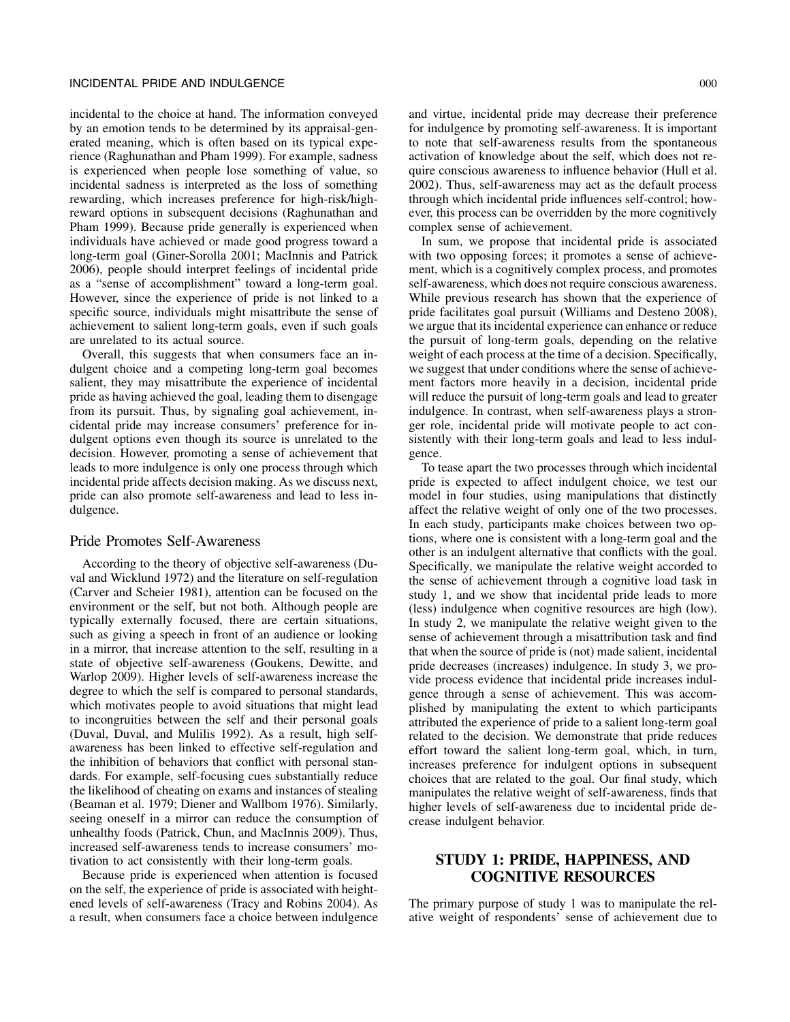## INCIDENTAL PRIDE AND INDULGENCE 000

incidental to the choice at hand. The information conveyed by an emotion tends to be determined by its appraisal-generated meaning, which is often based on its typical experience (Raghunathan and Pham 1999). For example, sadness is experienced when people lose something of value, so incidental sadness is interpreted as the loss of something rewarding, which increases preference for high-risk/highreward options in subsequent decisions (Raghunathan and Pham 1999). Because pride generally is experienced when individuals have achieved or made good progress toward a long-term goal (Giner-Sorolla 2001; MacInnis and Patrick 2006), people should interpret feelings of incidental pride as a "sense of accomplishment" toward a long-term goal. However, since the experience of pride is not linked to a specific source, individuals might misattribute the sense of achievement to salient long-term goals, even if such goals are unrelated to its actual source.

Overall, this suggests that when consumers face an indulgent choice and a competing long-term goal becomes salient, they may misattribute the experience of incidental pride as having achieved the goal, leading them to disengage from its pursuit. Thus, by signaling goal achievement, incidental pride may increase consumers' preference for indulgent options even though its source is unrelated to the decision. However, promoting a sense of achievement that leads to more indulgence is only one process through which incidental pride affects decision making. As we discuss next, pride can also promote self-awareness and lead to less indulgence.

## Pride Promotes Self-Awareness

According to the theory of objective self-awareness (Duval and Wicklund 1972) and the literature on self-regulation (Carver and Scheier 1981), attention can be focused on the environment or the self, but not both. Although people are typically externally focused, there are certain situations, such as giving a speech in front of an audience or looking in a mirror, that increase attention to the self, resulting in a state of objective self-awareness (Goukens, Dewitte, and Warlop 2009). Higher levels of self-awareness increase the degree to which the self is compared to personal standards, which motivates people to avoid situations that might lead to incongruities between the self and their personal goals (Duval, Duval, and Mulilis 1992). As a result, high selfawareness has been linked to effective self-regulation and the inhibition of behaviors that conflict with personal standards. For example, self-focusing cues substantially reduce the likelihood of cheating on exams and instances of stealing (Beaman et al. 1979; Diener and Wallbom 1976). Similarly, seeing oneself in a mirror can reduce the consumption of unhealthy foods (Patrick, Chun, and MacInnis 2009). Thus, increased self-awareness tends to increase consumers' motivation to act consistently with their long-term goals.

Because pride is experienced when attention is focused on the self, the experience of pride is associated with heightened levels of self-awareness (Tracy and Robins 2004). As a result, when consumers face a choice between indulgence and virtue, incidental pride may decrease their preference for indulgence by promoting self-awareness. It is important to note that self-awareness results from the spontaneous activation of knowledge about the self, which does not require conscious awareness to influence behavior (Hull et al. 2002). Thus, self-awareness may act as the default process through which incidental pride influences self-control; however, this process can be overridden by the more cognitively complex sense of achievement.

In sum, we propose that incidental pride is associated with two opposing forces; it promotes a sense of achievement, which is a cognitively complex process, and promotes self-awareness, which does not require conscious awareness. While previous research has shown that the experience of pride facilitates goal pursuit (Williams and Desteno 2008), we argue that its incidental experience can enhance or reduce the pursuit of long-term goals, depending on the relative weight of each process at the time of a decision. Specifically, we suggest that under conditions where the sense of achievement factors more heavily in a decision, incidental pride will reduce the pursuit of long-term goals and lead to greater indulgence. In contrast, when self-awareness plays a stronger role, incidental pride will motivate people to act consistently with their long-term goals and lead to less indulgence.

To tease apart the two processes through which incidental pride is expected to affect indulgent choice, we test our model in four studies, using manipulations that distinctly affect the relative weight of only one of the two processes. In each study, participants make choices between two options, where one is consistent with a long-term goal and the other is an indulgent alternative that conflicts with the goal. Specifically, we manipulate the relative weight accorded to the sense of achievement through a cognitive load task in study 1, and we show that incidental pride leads to more (less) indulgence when cognitive resources are high (low). In study 2, we manipulate the relative weight given to the sense of achievement through a misattribution task and find that when the source of pride is (not) made salient, incidental pride decreases (increases) indulgence. In study 3, we provide process evidence that incidental pride increases indulgence through a sense of achievement. This was accomplished by manipulating the extent to which participants attributed the experience of pride to a salient long-term goal related to the decision. We demonstrate that pride reduces effort toward the salient long-term goal, which, in turn, increases preference for indulgent options in subsequent choices that are related to the goal. Our final study, which manipulates the relative weight of self-awareness, finds that higher levels of self-awareness due to incidental pride decrease indulgent behavior.

# **STUDY 1: PRIDE, HAPPINESS, AND COGNITIVE RESOURCES**

The primary purpose of study 1 was to manipulate the relative weight of respondents' sense of achievement due to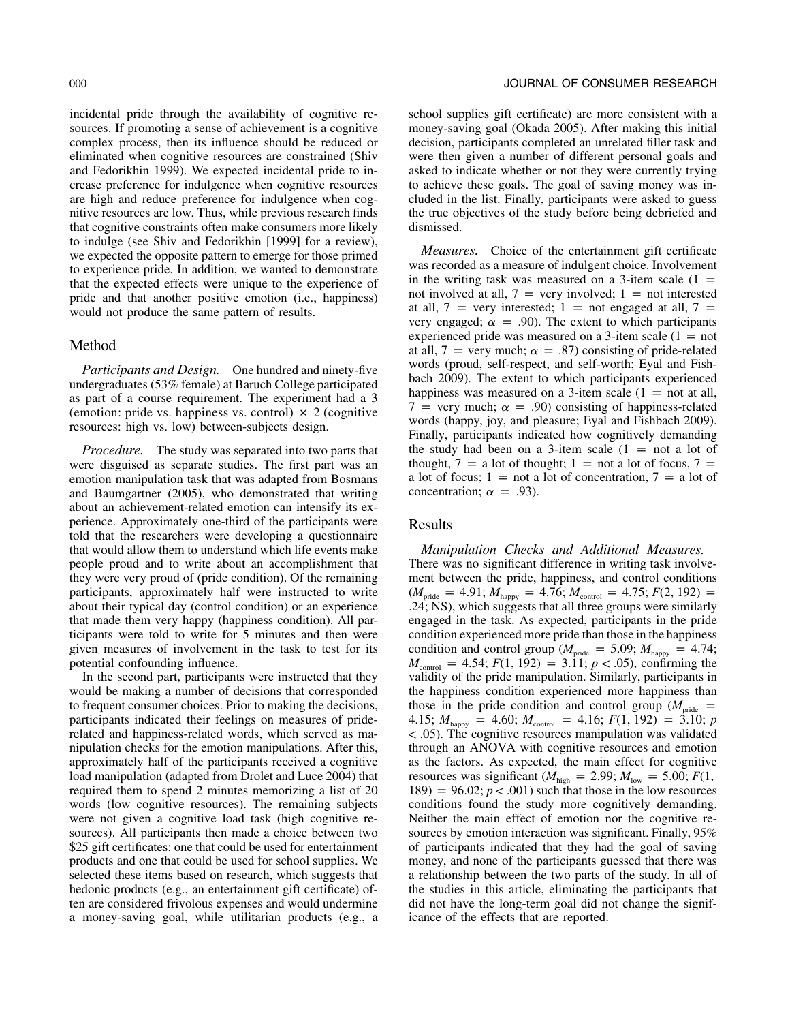incidental pride through the availability of cognitive resources. If promoting a sense of achievement is a cognitive complex process, then its influence should be reduced or eliminated when cognitive resources are constrained (Shiv and Fedorikhin 1999). We expected incidental pride to increase preference for indulgence when cognitive resources are high and reduce preference for indulgence when cognitive resources are low. Thus, while previous research finds that cognitive constraints often make consumers more likely to indulge (see Shiv and Fedorikhin [1999] for a review), we expected the opposite pattern to emerge for those primed to experience pride. In addition, we wanted to demonstrate that the expected effects were unique to the experience of pride and that another positive emotion (i.e., happiness) would not produce the same pattern of results.

## Method

*Participants and Design.* One hundred and ninety-five undergraduates (53% female) at Baruch College participated as part of a course requirement. The experiment had a 3 (emotion: pride vs. happiness vs. control)  $\times$  2 (cognitive resources: high vs. low) between-subjects design.

*Procedure.* The study was separated into two parts that were disguised as separate studies. The first part was an emotion manipulation task that was adapted from Bosmans and Baumgartner (2005), who demonstrated that writing about an achievement-related emotion can intensify its experience. Approximately one-third of the participants were told that the researchers were developing a questionnaire that would allow them to understand which life events make people proud and to write about an accomplishment that they were very proud of (pride condition). Of the remaining participants, approximately half were instructed to write about their typical day (control condition) or an experience that made them very happy (happiness condition). All participants were told to write for 5 minutes and then were given measures of involvement in the task to test for its potential confounding influence.

In the second part, participants were instructed that they would be making a number of decisions that corresponded to frequent consumer choices. Prior to making the decisions, participants indicated their feelings on measures of priderelated and happiness-related words, which served as manipulation checks for the emotion manipulations. After this, approximately half of the participants received a cognitive load manipulation (adapted from Drolet and Luce 2004) that required them to spend 2 minutes memorizing a list of 20 words (low cognitive resources). The remaining subjects were not given a cognitive load task (high cognitive resources). All participants then made a choice between two \$25 gift certificates: one that could be used for entertainment products and one that could be used for school supplies. We selected these items based on research, which suggests that hedonic products (e.g., an entertainment gift certificate) often are considered frivolous expenses and would undermine a money-saving goal, while utilitarian products (e.g., a school supplies gift certificate) are more consistent with a money-saving goal (Okada 2005). After making this initial decision, participants completed an unrelated filler task and were then given a number of different personal goals and asked to indicate whether or not they were currently trying to achieve these goals. The goal of saving money was included in the list. Finally, participants were asked to guess the true objectives of the study before being debriefed and dismissed.

*Measures.* Choice of the entertainment gift certificate was recorded as a measure of indulgent choice. Involvement in the writing task was measured on a 3-item scale  $(1 =$ not involved at all,  $7 = \text{very involved}; 1 = \text{not interested}$ at all,  $7$  = very interested; 1 = not engaged at all,  $7$  = very engaged;  $\alpha = .90$ ). The extent to which participants experienced pride was measured on a 3-item scale  $(1 = not$ at all, 7 = very much;  $\alpha$  = .87) consisting of pride-related words (proud, self-respect, and self-worth; Eyal and Fishbach 2009). The extent to which participants experienced happiness was measured on a 3-item scale  $(1 = \text{not at all},$ 7 = very much;  $\alpha$  = .90) consisting of happiness-related words (happy, joy, and pleasure; Eyal and Fishbach 2009). Finally, participants indicated how cognitively demanding the study had been on a 3-item scale  $(1 = not a lot of$ thought,  $7 = a$  lot of thought; 1 = not a lot of focus, 7 = a lot of focus;  $1 = \text{not a}$  lot of concentration,  $7 = \text{a}$  lot of concentration;  $\alpha = .93$ ).

# Results

*Manipulation Checks and Additional Measures.* There was no significant difference in writing task involvement between the pride, happiness, and control conditions  $(M_{\text{pride}} = 4.91; M_{\text{happy}} = 4.76; M_{\text{control}} = 4.75; F(2, 192)$ .24; NS), which suggests that all three groups were similarly engaged in the task. As expected, participants in the pride condition experienced more pride than those in the happiness condition and control group ( $M_{\text{pride}} = 5.09$ ;  $M_{\text{happy}} = 4.74$ ;  $M_{\text{control}} = 4.54$ ;  $F(1, 192) = 3.11$ ;  $p < .05$ ), confirming the validity of the pride manipulation. Similarly, participants in the happiness condition experienced more happiness than those in the pride condition and control group ( $M_{\text{pride}}$  = 4.15;  $M_{\text{happy}} = 4.60$ ;  $M_{\text{control}} = 4.16$ ;  $F(1, 192) = 3.10$ ; *p* ! .05). The cognitive resources manipulation was validated through an ANOVA with cognitive resources and emotion as the factors. As expected, the main effect for cognitive resources was significant ( $M_{\text{high}} = 2.99; M_{\text{low}} = 5.00; F(1,$  $189$  = 96.02;  $p < .001$ ) such that those in the low resources conditions found the study more cognitively demanding. Neither the main effect of emotion nor the cognitive resources by emotion interaction was significant. Finally, 95% of participants indicated that they had the goal of saving money, and none of the participants guessed that there was a relationship between the two parts of the study. In all of the studies in this article, eliminating the participants that did not have the long-term goal did not change the significance of the effects that are reported.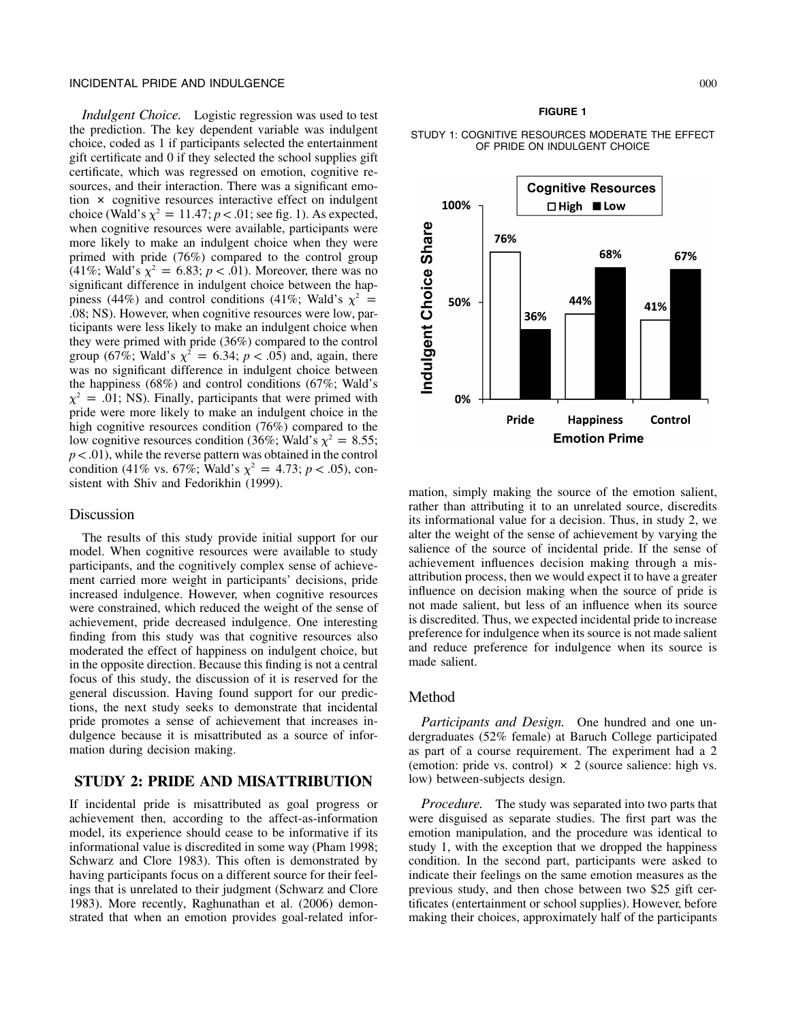# INCIDENTAL PRIDE AND INDULGENCE 000

*Indulgent Choice.* Logistic regression was used to test the prediction. The key dependent variable was indulgent choice, coded as 1 if participants selected the entertainment gift certificate and 0 if they selected the school supplies gift certificate, which was regressed on emotion, cognitive resources, and their interaction. There was a significant emotion  $\times$  cognitive resources interactive effect on indulgent choice (Wald's  $\chi^2 = 11.47$ ;  $p < .01$ ; see fig. 1). As expected, when cognitive resources were available, participants were more likely to make an indulgent choice when they were primed with pride (76%) compared to the control group (41%; Wald's  $\chi^2 = 6.83$ ;  $p < .01$ ). Moreover, there was no significant difference in indulgent choice between the happiness (44%) and control conditions (41%; Wald's  $\chi^2$  = .08; NS). However, when cognitive resources were low, participants were less likely to make an indulgent choice when they were primed with pride (36%) compared to the control group (67%; Wald's  $\chi^2 = 6.34$ ;  $p < .05$ ) and, again, there was no significant difference in indulgent choice between the happiness (68%) and control conditions (67%; Wald's  $\chi^2$  = .01; NS). Finally, participants that were primed with pride were more likely to make an indulgent choice in the high cognitive resources condition (76%) compared to the low cognitive resources condition (36%; Wald's  $\chi^2 = 8.55$ ;  $p < .01$ ), while the reverse pattern was obtained in the control condition (41% vs. 67%; Wald's  $\chi^2 = 4.73$ ;  $p < .05$ ), consistent with Shiv and Fedorikhin (1999).

# Discussion

The results of this study provide initial support for our model. When cognitive resources were available to study participants, and the cognitively complex sense of achievement carried more weight in participants' decisions, pride increased indulgence. However, when cognitive resources were constrained, which reduced the weight of the sense of achievement, pride decreased indulgence. One interesting finding from this study was that cognitive resources also moderated the effect of happiness on indulgent choice, but in the opposite direction. Because this finding is not a central focus of this study, the discussion of it is reserved for the general discussion. Having found support for our predictions, the next study seeks to demonstrate that incidental pride promotes a sense of achievement that increases indulgence because it is misattributed as a source of information during decision making.

# **STUDY 2: PRIDE AND MISATTRIBUTION**

If incidental pride is misattributed as goal progress or achievement then, according to the affect-as-information model, its experience should cease to be informative if its informational value is discredited in some way (Pham 1998; Schwarz and Clore 1983). This often is demonstrated by having participants focus on a different source for their feelings that is unrelated to their judgment (Schwarz and Clore 1983). More recently, Raghunathan et al. (2006) demonstrated that when an emotion provides goal-related infor-

## **FIGURE 1**

## STUDY 1: COGNITIVE RESOURCES MODERATE THE EFFECT OF PRIDE ON INDULGENT CHOICE



mation, simply making the source of the emotion salient, rather than attributing it to an unrelated source, discredits its informational value for a decision. Thus, in study 2, we alter the weight of the sense of achievement by varying the salience of the source of incidental pride. If the sense of achievement influences decision making through a misattribution process, then we would expect it to have a greater influence on decision making when the source of pride is not made salient, but less of an influence when its source is discredited. Thus, we expected incidental pride to increase preference for indulgence when its source is not made salient and reduce preference for indulgence when its source is made salient.

# Method

*Participants and Design.* One hundred and one undergraduates (52% female) at Baruch College participated as part of a course requirement. The experiment had a 2 (emotion: pride vs. control)  $\times$  2 (source salience: high vs. low) between-subjects design.

*Procedure.* The study was separated into two parts that were disguised as separate studies. The first part was the emotion manipulation, and the procedure was identical to study 1, with the exception that we dropped the happiness condition. In the second part, participants were asked to indicate their feelings on the same emotion measures as the previous study, and then chose between two \$25 gift certificates (entertainment or school supplies). However, before making their choices, approximately half of the participants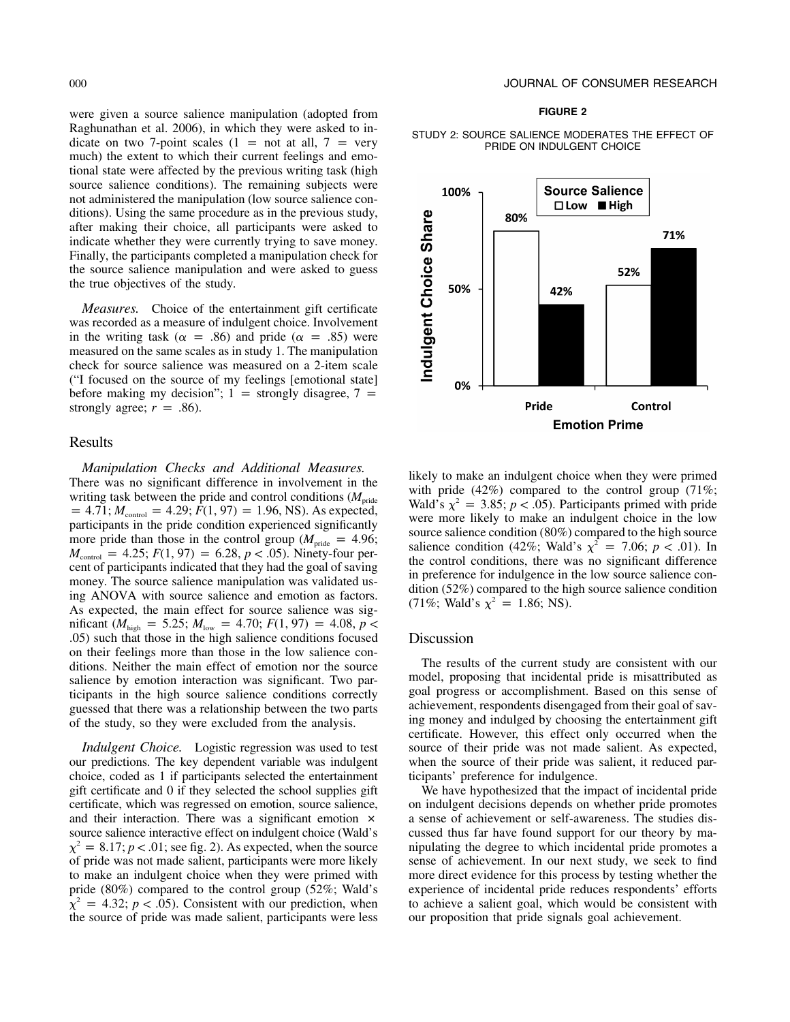were given a source salience manipulation (adopted from Raghunathan et al. 2006), in which they were asked to indicate on two 7-point scales (1 = not at all, 7 = very much) the extent to which their current feelings and emotional state were affected by the previous writing task (high source salience conditions). The remaining subjects were not administered the manipulation (low source salience conditions). Using the same procedure as in the previous study, after making their choice, all participants were asked to indicate whether they were currently trying to save money. Finally, the participants completed a manipulation check for the source salience manipulation and were asked to guess the true objectives of the study.

*Measures.* Choice of the entertainment gift certificate was recorded as a measure of indulgent choice. Involvement in the writing task ( $\alpha = .86$ ) and pride ( $\alpha = .85$ ) were measured on the same scales as in study 1. The manipulation check for source salience was measured on a 2-item scale ("I focused on the source of my feelings [emotional state] before making my decision";  $1 =$  strongly disagree, 7 = strongly agree;  $r = .86$ ).

# Results

*Manipulation Checks and Additional Measures.* There was no significant difference in involvement in the writing task between the pride and control conditions  $(M_{\text{pride}})$  $p = 4.71$ ;  $M_{\text{control}} = 4.29$ ;  $F(1, 97) = 1.96$ , NS). As expected, participants in the pride condition experienced significantly more pride than those in the control group ( $M_{\text{pride}} = 4.96$ ;  $M_{\text{control}} = 4.25$ ;  $F(1, 97) = 6.28$ ,  $p < .05$ ). Ninety-four percent of participants indicated that they had the goal of saving money. The source salience manipulation was validated using ANOVA with source salience and emotion as factors. As expected, the main effect for source salience was significant ( $M_{\text{high}} = 5.25$ ;  $M_{\text{low}} = 4.70$ ;  $F(1, 97) = 4.08$ ,  $p <$ .05) such that those in the high salience conditions focused on their feelings more than those in the low salience conditions. Neither the main effect of emotion nor the source salience by emotion interaction was significant. Two participants in the high source salience conditions correctly guessed that there was a relationship between the two parts of the study, so they were excluded from the analysis.

*Indulgent Choice.* Logistic regression was used to test our predictions. The key dependent variable was indulgent choice, coded as 1 if participants selected the entertainment gift certificate and 0 if they selected the school supplies gift certificate, which was regressed on emotion, source salience, and their interaction. There was a significant emotion  $\times$ source salience interactive effect on indulgent choice (Wald's  $\chi^2 = 8.17$ ;  $p < .01$ ; see fig. 2). As expected, when the source of pride was not made salient, participants were more likely to make an indulgent choice when they were primed with pride (80%) compared to the control group (52%; Wald's  $\chi^2$  = 4.32; *p* < .05). Consistent with our prediction, when the source of pride was made salient, participants were less

#### **FIGURE 2**

## STUDY 2: SOURCE SALIENCE MODERATES THE EFFECT OF PRIDE ON INDULGENT CHOICE



likely to make an indulgent choice when they were primed with pride  $(42%)$  compared to the control group  $(71\%;$ Wald's  $\chi^2 = 3.85$ ;  $p < .05$ ). Participants primed with pride were more likely to make an indulgent choice in the low source salience condition (80%) compared to the high source salience condition (42%; Wald's  $\chi^2 = 7.06$ ;  $p < .01$ ). In the control conditions, there was no significant difference in preference for indulgence in the low source salience condition (52%) compared to the high source salience condition (71%; Wald's  $\chi^2 = 1.86$ ; NS).

# Discussion

The results of the current study are consistent with our model, proposing that incidental pride is misattributed as goal progress or accomplishment. Based on this sense of achievement, respondents disengaged from their goal of saving money and indulged by choosing the entertainment gift certificate. However, this effect only occurred when the source of their pride was not made salient. As expected, when the source of their pride was salient, it reduced participants' preference for indulgence.

We have hypothesized that the impact of incidental pride on indulgent decisions depends on whether pride promotes a sense of achievement or self-awareness. The studies discussed thus far have found support for our theory by manipulating the degree to which incidental pride promotes a sense of achievement. In our next study, we seek to find more direct evidence for this process by testing whether the experience of incidental pride reduces respondents' efforts to achieve a salient goal, which would be consistent with our proposition that pride signals goal achievement.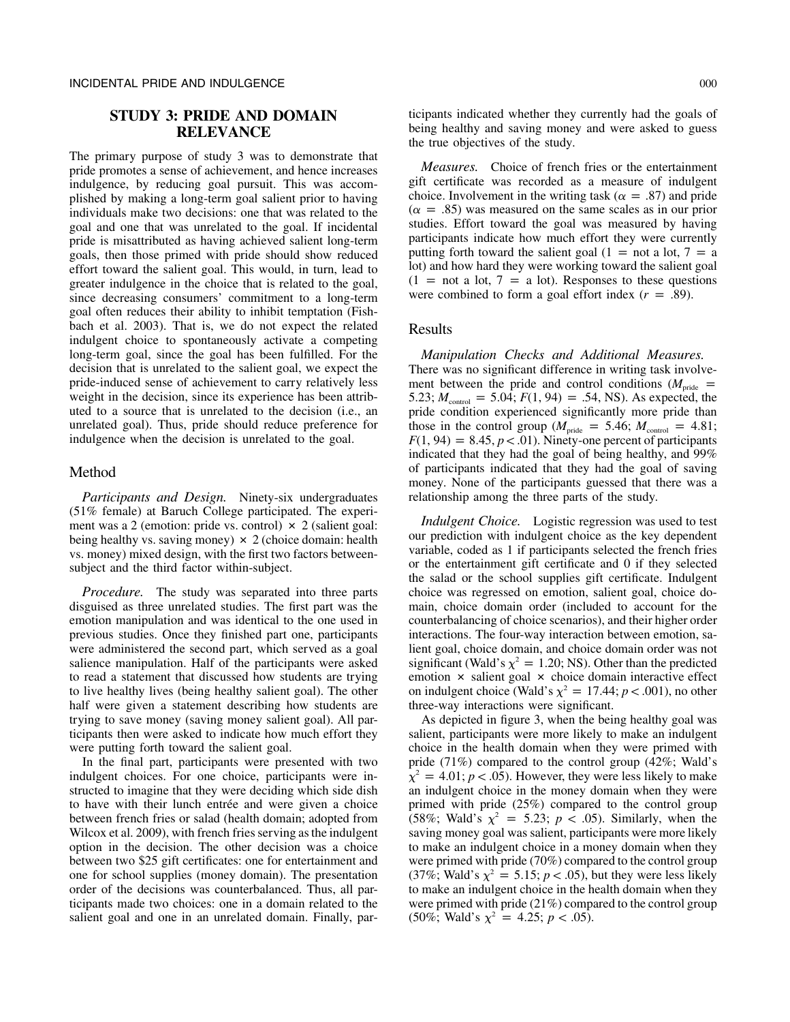# **STUDY 3: PRIDE AND DOMAIN RELEVANCE**

The primary purpose of study 3 was to demonstrate that pride promotes a sense of achievement, and hence increases indulgence, by reducing goal pursuit. This was accomplished by making a long-term goal salient prior to having individuals make two decisions: one that was related to the goal and one that was unrelated to the goal. If incidental pride is misattributed as having achieved salient long-term goals, then those primed with pride should show reduced effort toward the salient goal. This would, in turn, lead to greater indulgence in the choice that is related to the goal, since decreasing consumers' commitment to a long-term goal often reduces their ability to inhibit temptation (Fishbach et al. 2003). That is, we do not expect the related indulgent choice to spontaneously activate a competing long-term goal, since the goal has been fulfilled. For the decision that is unrelated to the salient goal, we expect the pride-induced sense of achievement to carry relatively less weight in the decision, since its experience has been attributed to a source that is unrelated to the decision (i.e., an unrelated goal). Thus, pride should reduce preference for indulgence when the decision is unrelated to the goal.

# Method

*Participants and Design.* Ninety-six undergraduates (51% female) at Baruch College participated. The experiment was a 2 (emotion: pride vs. control)  $\times$  2 (salient goal: being healthy vs. saving money)  $\times$  2 (choice domain: health vs. money) mixed design, with the first two factors betweensubject and the third factor within-subject.

*Procedure.* The study was separated into three parts disguised as three unrelated studies. The first part was the emotion manipulation and was identical to the one used in previous studies. Once they finished part one, participants were administered the second part, which served as a goal salience manipulation. Half of the participants were asked to read a statement that discussed how students are trying to live healthy lives (being healthy salient goal). The other half were given a statement describing how students are trying to save money (saving money salient goal). All participants then were asked to indicate how much effort they were putting forth toward the salient goal.

In the final part, participants were presented with two indulgent choices. For one choice, participants were instructed to imagine that they were deciding which side dish to have with their lunch entrée and were given a choice between french fries or salad (health domain; adopted from Wilcox et al. 2009), with french fries serving as the indulgent option in the decision. The other decision was a choice between two \$25 gift certificates: one for entertainment and one for school supplies (money domain). The presentation order of the decisions was counterbalanced. Thus, all participants made two choices: one in a domain related to the salient goal and one in an unrelated domain. Finally, participants indicated whether they currently had the goals of being healthy and saving money and were asked to guess the true objectives of the study.

*Measures.* Choice of french fries or the entertainment gift certificate was recorded as a measure of indulgent choice. Involvement in the writing task ( $\alpha = .87$ ) and pride  $(\alpha = .85)$  was measured on the same scales as in our prior studies. Effort toward the goal was measured by having participants indicate how much effort they were currently putting forth toward the salient goal (1 = not a lot, 7 = a lot) and how hard they were working toward the salient goal  $(1 =$  not a lot,  $7 =$  a lot). Responses to these questions were combined to form a goal effort index  $(r = .89)$ .

# Results

*Manipulation Checks and Additional Measures.* There was no significant difference in writing task involvement between the pride and control conditions  $(M_{\text{pride}} =$ 5.23;  $M_{\text{control}} = 5.04$ ;  $F(1, 94) = .54$ , NS). As expected, the pride condition experienced significantly more pride than those in the control group ( $M_{\text{pride}} = 5.46$ ;  $M_{\text{control}} = 4.81$ ;  $F(1, 94) = 8.45, p < .01$ ). Ninety-one percent of participants indicated that they had the goal of being healthy, and 99% of participants indicated that they had the goal of saving money. None of the participants guessed that there was a relationship among the three parts of the study.

*Indulgent Choice.* Logistic regression was used to test our prediction with indulgent choice as the key dependent variable, coded as 1 if participants selected the french fries or the entertainment gift certificate and 0 if they selected the salad or the school supplies gift certificate. Indulgent choice was regressed on emotion, salient goal, choice domain, choice domain order (included to account for the counterbalancing of choice scenarios), and their higher order interactions. The four-way interaction between emotion, salient goal, choice domain, and choice domain order was not significant (Wald's  $\chi^2 = 1.20$ ; NS). Other than the predicted emotion  $\times$  salient goal  $\times$  choice domain interactive effect on indulgent choice (Wald's  $\chi^2 = 17.44$ ;  $p < .001$ ), no other three-way interactions were significant.

As depicted in figure 3, when the being healthy goal was salient, participants were more likely to make an indulgent choice in the health domain when they were primed with pride (71%) compared to the control group (42%; Wald's  $\chi^2 = 4.01$ ; *p* < .05). However, they were less likely to make an indulgent choice in the money domain when they were primed with pride (25%) compared to the control group (58%; Wald's  $\chi^2 = 5.23$ ;  $p < .05$ ). Similarly, when the saving money goal was salient, participants were more likely to make an indulgent choice in a money domain when they were primed with pride (70%) compared to the control group (37%; Wald's  $\chi^2 = 5.15$ ;  $p < .05$ ), but they were less likely to make an indulgent choice in the health domain when they were primed with pride (21%) compared to the control group (50%; Wald's  $\chi^2 = 4.25$ ;  $p < .05$ ).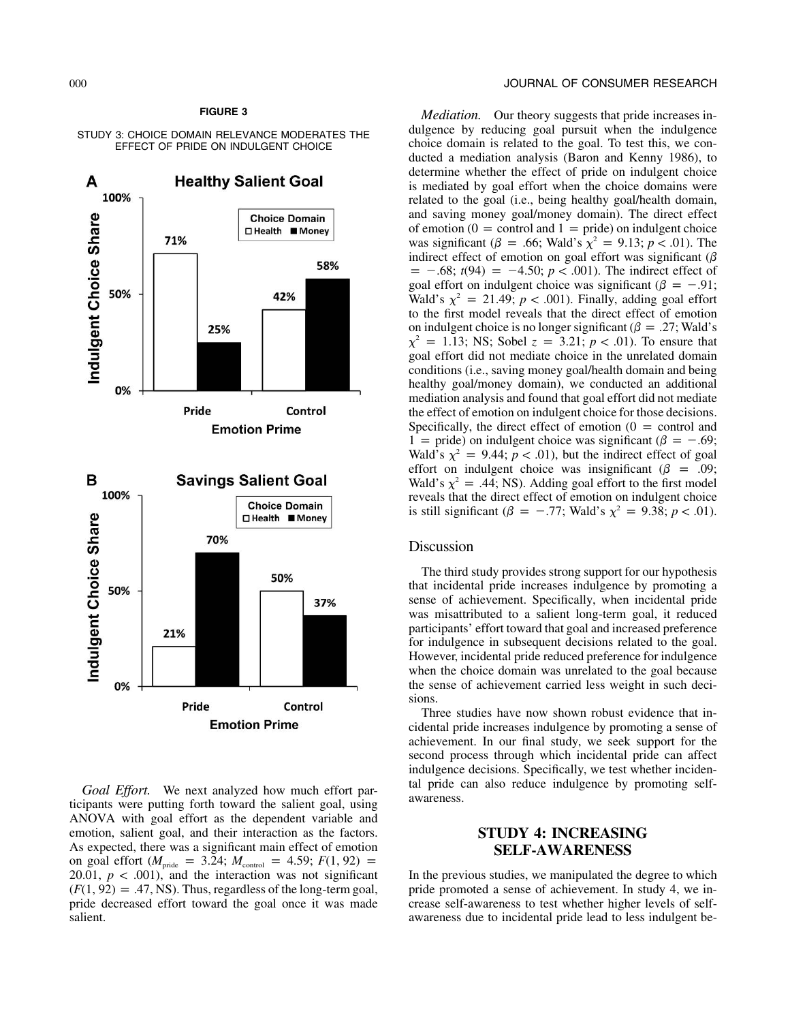# **FIGURE 3**

#### STUDY 3: CHOICE DOMAIN RELEVANCE MODERATES THE EFFECT OF PRIDE ON INDULGENT CHOICE



*Goal Effort.* We next analyzed how much effort participants were putting forth toward the salient goal, using ANOVA with goal effort as the dependent variable and emotion, salient goal, and their interaction as the factors. As expected, there was a significant main effect of emotion on goal effort ( $M_{\text{pride}} = 3.24$ ;  $M_{\text{control}} = 4.59$ ;  $F(1, 92) =$ 20.01,  $p < .001$ ), and the interaction was not significant  $(F(1, 92) = .47, NS)$ . Thus, regardless of the long-term goal, pride decreased effort toward the goal once it was made salient.

## 000 JOURNAL OF CONSUMER RESEARCH

*Mediation.* Our theory suggests that pride increases indulgence by reducing goal pursuit when the indulgence choice domain is related to the goal. To test this, we conducted a mediation analysis (Baron and Kenny 1986), to determine whether the effect of pride on indulgent choice is mediated by goal effort when the choice domains were related to the goal (i.e., being healthy goal/health domain, and saving money goal/money domain). The direct effect of emotion ( $0 =$  control and  $1 =$  pride) on indulgent choice was significant ( $\beta = .66$ ; Wald's  $\chi^2 = 9.13$ ;  $p < .01$ ). The indirect effect of emotion on goal effort was significant ( $\beta$  $= -0.68$ ; *t*(94)  $= -4.50$ ; *p* < .001). The indirect effect of goal effort on indulgent choice was significant ( $\beta = -.91$ ; Wald's  $\chi^2 = 21.49$ ;  $p < .001$ ). Finally, adding goal effort to the first model reveals that the direct effect of emotion on indulgent choice is no longer significant ( $\beta = .27$ ; Wald's  $\chi^2 = 1.13$ ; NS; Sobel  $z = 3.21$ ;  $p < .01$ ). To ensure that goal effort did not mediate choice in the unrelated domain conditions (i.e., saving money goal/health domain and being healthy goal/money domain), we conducted an additional mediation analysis and found that goal effort did not mediate the effect of emotion on indulgent choice for those decisions. Specifically, the direct effect of emotion  $(0 =$  control and 1 = pride) on indulgent choice was significant ( $\beta$  = -.69; Wald's  $\chi^2 = 9.44$ ;  $p < .01$ ), but the indirect effect of goal effort on indulgent choice was insignificant ( $\beta = .09$ ; Wald's  $\chi^2 = .44$ ; NS). Adding goal effort to the first model reveals that the direct effect of emotion on indulgent choice is still significant ( $\beta = -.77$ ; Wald's  $\chi^2 = 9.38$ ; *p* < .01).

# Discussion

The third study provides strong support for our hypothesis that incidental pride increases indulgence by promoting a sense of achievement. Specifically, when incidental pride was misattributed to a salient long-term goal, it reduced participants' effort toward that goal and increased preference for indulgence in subsequent decisions related to the goal. However, incidental pride reduced preference for indulgence when the choice domain was unrelated to the goal because the sense of achievement carried less weight in such decisions.

Three studies have now shown robust evidence that incidental pride increases indulgence by promoting a sense of achievement. In our final study, we seek support for the second process through which incidental pride can affect indulgence decisions. Specifically, we test whether incidental pride can also reduce indulgence by promoting selfawareness.

# **STUDY 4: INCREASING SELF-AWARENESS**

In the previous studies, we manipulated the degree to which pride promoted a sense of achievement. In study 4, we increase self-awareness to test whether higher levels of selfawareness due to incidental pride lead to less indulgent be-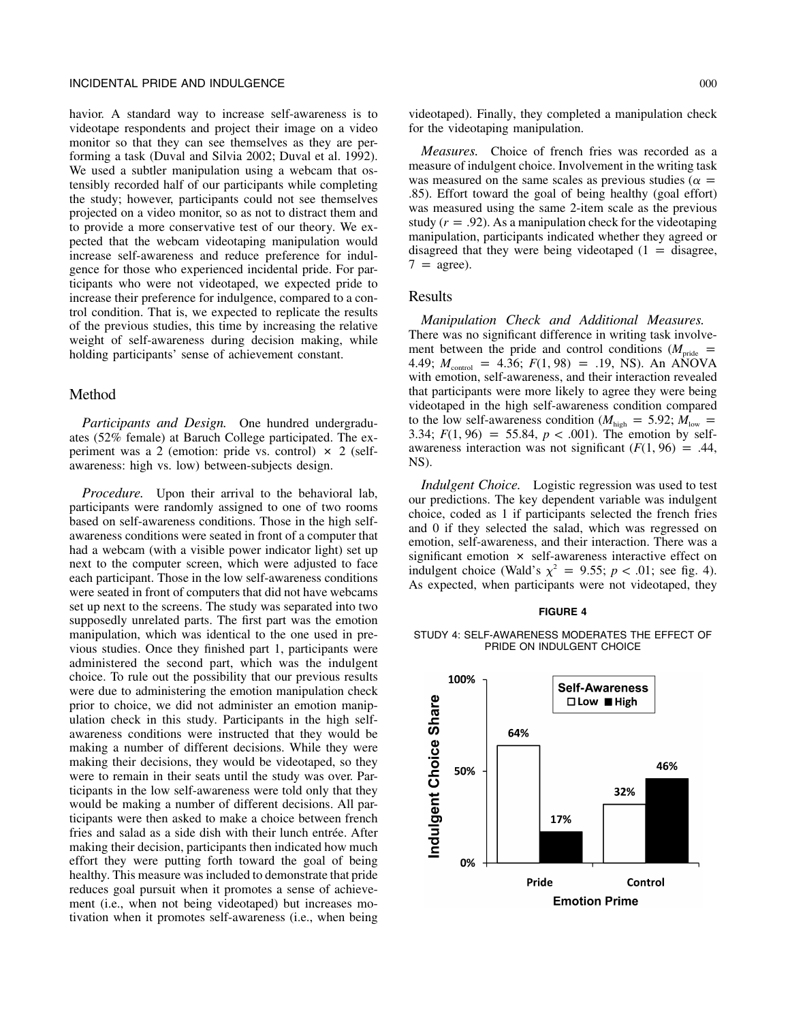## INCIDENTAL PRIDE AND INDULGENCE 000

havior. A standard way to increase self-awareness is to videotape respondents and project their image on a video monitor so that they can see themselves as they are performing a task (Duval and Silvia 2002; Duval et al. 1992). We used a subtler manipulation using a webcam that ostensibly recorded half of our participants while completing the study; however, participants could not see themselves projected on a video monitor, so as not to distract them and to provide a more conservative test of our theory. We expected that the webcam videotaping manipulation would increase self-awareness and reduce preference for indulgence for those who experienced incidental pride. For participants who were not videotaped, we expected pride to increase their preference for indulgence, compared to a control condition. That is, we expected to replicate the results of the previous studies, this time by increasing the relative weight of self-awareness during decision making, while holding participants' sense of achievement constant.

### Method

*Participants and Design.* One hundred undergraduates (52% female) at Baruch College participated. The experiment was a 2 (emotion: pride vs. control)  $\times$  2 (selfawareness: high vs. low) between-subjects design.

*Procedure.* Upon their arrival to the behavioral lab, participants were randomly assigned to one of two rooms based on self-awareness conditions. Those in the high selfawareness conditions were seated in front of a computer that had a webcam (with a visible power indicator light) set up next to the computer screen, which were adjusted to face each participant. Those in the low self-awareness conditions were seated in front of computers that did not have webcams set up next to the screens. The study was separated into two supposedly unrelated parts. The first part was the emotion manipulation, which was identical to the one used in previous studies. Once they finished part 1, participants were administered the second part, which was the indulgent choice. To rule out the possibility that our previous results were due to administering the emotion manipulation check prior to choice, we did not administer an emotion manipulation check in this study. Participants in the high selfawareness conditions were instructed that they would be making a number of different decisions. While they were making their decisions, they would be videotaped, so they were to remain in their seats until the study was over. Participants in the low self-awareness were told only that they would be making a number of different decisions. All participants were then asked to make a choice between french fries and salad as a side dish with their lunch entrée. After making their decision, participants then indicated how much effort they were putting forth toward the goal of being healthy. This measure was included to demonstrate that pride reduces goal pursuit when it promotes a sense of achievement (i.e., when not being videotaped) but increases motivation when it promotes self-awareness (i.e., when being videotaped). Finally, they completed a manipulation check for the videotaping manipulation.

*Measures.* Choice of french fries was recorded as a measure of indulgent choice. Involvement in the writing task was measured on the same scales as previous studies ( $\alpha =$ .85). Effort toward the goal of being healthy (goal effort) was measured using the same 2-item scale as the previous study  $(r = .92)$ . As a manipulation check for the videotaping manipulation, participants indicated whether they agreed or disagreed that they were being videotaped  $(1 -$  disagree,  $7 = \text{agree}$ ).

# Results

*Manipulation Check and Additional Measures.* There was no significant difference in writing task involvement between the pride and control conditions ( $M_{\text{pride}}$  = 4.49;  $M_{\text{control}} = 4.36$ ;  $F(1, 98) = .19$ , NS). An ANOVA with emotion, self-awareness, and their interaction revealed that participants were more likely to agree they were being videotaped in the high self-awareness condition compared to the low self-awareness condition ( $M_{\text{high}} = 5.92$ ;  $M_{\text{low}} =$ 3.34;  $F(1, 96) = 55.84$ ,  $p < .001$ ). The emotion by selfawareness interaction was not significant  $(F(1, 96) = .44,$ NS).

*Indulgent Choice.* Logistic regression was used to test our predictions. The key dependent variable was indulgent choice, coded as 1 if participants selected the french fries and 0 if they selected the salad, which was regressed on emotion, self-awareness, and their interaction. There was a significant emotion  $\times$  self-awareness interactive effect on indulgent choice (Wald's  $\chi^2 = 9.55$ ;  $p < .01$ ; see fig. 4). As expected, when participants were not videotaped, they

#### **FIGURE 4**

STUDY 4: SELF-AWARENESS MODERATES THE EFFECT OF PRIDE ON INDULGENT CHOICE

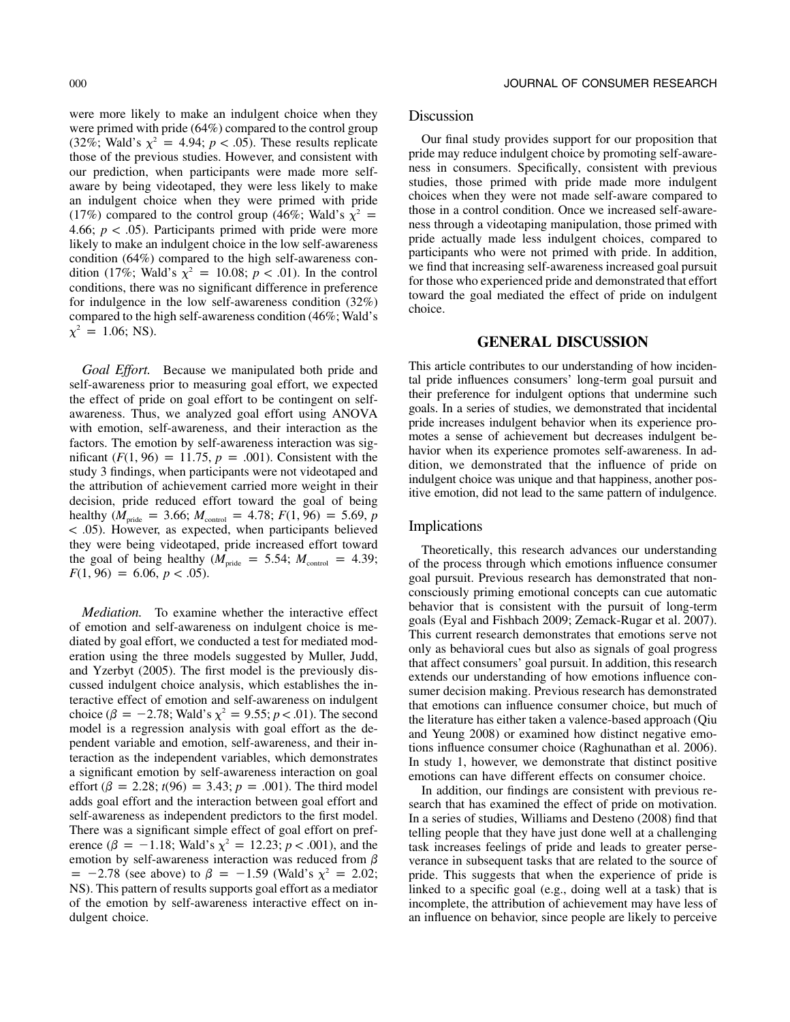were more likely to make an indulgent choice when they were primed with pride (64%) compared to the control group (32%; Wald's  $\chi^2 = 4.94$ ;  $p < .05$ ). These results replicate those of the previous studies. However, and consistent with our prediction, when participants were made more selfaware by being videotaped, they were less likely to make an indulgent choice when they were primed with pride (17%) compared to the control group (46%; Wald's  $\chi^2$  = 4.66;  $p < .05$ ). Participants primed with pride were more likely to make an indulgent choice in the low self-awareness condition (64%) compared to the high self-awareness condition (17%; Wald's  $\chi^2 = 10.08$ ;  $p < .01$ ). In the control conditions, there was no significant difference in preference for indulgence in the low self-awareness condition (32%) compared to the high self-awareness condition (46%; Wald's  $\chi^2 = 1.06$ ; NS).

*Goal Effort.* Because we manipulated both pride and self-awareness prior to measuring goal effort, we expected the effect of pride on goal effort to be contingent on selfawareness. Thus, we analyzed goal effort using ANOVA with emotion, self-awareness, and their interaction as the factors. The emotion by self-awareness interaction was significant  $(F(1, 96) = 11.75, p = .001)$ . Consistent with the study 3 findings, when participants were not videotaped and the attribution of achievement carried more weight in their decision, pride reduced effort toward the goal of being healthy ( $M_{\text{pride}} = 3.66$ ;  $M_{\text{control}} = 4.78$ ;  $F(1, 96) = 5.69$ ,  $p < .05$ ). However, as expected, when participants believed they were being videotaped, pride increased effort toward the goal of being healthy ( $M_{\text{pride}} = 5.54$ ;  $M_{\text{control}} = 4.39$ ;  $F(1, 96) = 6.06, p < .05$ .

*Mediation.* To examine whether the interactive effect of emotion and self-awareness on indulgent choice is mediated by goal effort, we conducted a test for mediated moderation using the three models suggested by Muller, Judd, and Yzerbyt (2005). The first model is the previously discussed indulgent choice analysis, which establishes the interactive effect of emotion and self-awareness on indulgent choice ( $\beta = -2.78$ ; Wald's  $\chi^2 = 9.55$ ; *p* < .01). The second model is a regression analysis with goal effort as the dependent variable and emotion, self-awareness, and their interaction as the independent variables, which demonstrates a significant emotion by self-awareness interaction on goal effort  $(\beta = 2.28; t(96) = 3.43; p = .001)$ . The third model adds goal effort and the interaction between goal effort and self-awareness as independent predictors to the first model. There was a significant simple effect of goal effort on preference ( $\beta = -1.18$ ; Wald's  $\chi^2 = 12.23$ ;  $p < .001$ ), and the emotion by self-awareness interaction was reduced from  $\beta$  $= -2.78$  (see above) to  $\beta = -1.59$  (Wald's  $\chi^2 = 2.02$ ; NS). This pattern of results supports goal effort as a mediator of the emotion by self-awareness interactive effect on indulgent choice.

# Discussion

Our final study provides support for our proposition that pride may reduce indulgent choice by promoting self-awareness in consumers. Specifically, consistent with previous studies, those primed with pride made more indulgent choices when they were not made self-aware compared to those in a control condition. Once we increased self-awareness through a videotaping manipulation, those primed with pride actually made less indulgent choices, compared to participants who were not primed with pride. In addition, we find that increasing self-awareness increased goal pursuit for those who experienced pride and demonstrated that effort toward the goal mediated the effect of pride on indulgent choice.

# **GENERAL DISCUSSION**

This article contributes to our understanding of how incidental pride influences consumers' long-term goal pursuit and their preference for indulgent options that undermine such goals. In a series of studies, we demonstrated that incidental pride increases indulgent behavior when its experience promotes a sense of achievement but decreases indulgent behavior when its experience promotes self-awareness. In addition, we demonstrated that the influence of pride on indulgent choice was unique and that happiness, another positive emotion, did not lead to the same pattern of indulgence.

# Implications

Theoretically, this research advances our understanding of the process through which emotions influence consumer goal pursuit. Previous research has demonstrated that nonconsciously priming emotional concepts can cue automatic behavior that is consistent with the pursuit of long-term goals (Eyal and Fishbach 2009; Zemack-Rugar et al. 2007). This current research demonstrates that emotions serve not only as behavioral cues but also as signals of goal progress that affect consumers' goal pursuit. In addition, this research extends our understanding of how emotions influence consumer decision making. Previous research has demonstrated that emotions can influence consumer choice, but much of the literature has either taken a valence-based approach (Qiu and Yeung 2008) or examined how distinct negative emotions influence consumer choice (Raghunathan et al. 2006). In study 1, however, we demonstrate that distinct positive emotions can have different effects on consumer choice.

In addition, our findings are consistent with previous research that has examined the effect of pride on motivation. In a series of studies, Williams and Desteno (2008) find that telling people that they have just done well at a challenging task increases feelings of pride and leads to greater perseverance in subsequent tasks that are related to the source of pride. This suggests that when the experience of pride is linked to a specific goal (e.g., doing well at a task) that is incomplete, the attribution of achievement may have less of an influence on behavior, since people are likely to perceive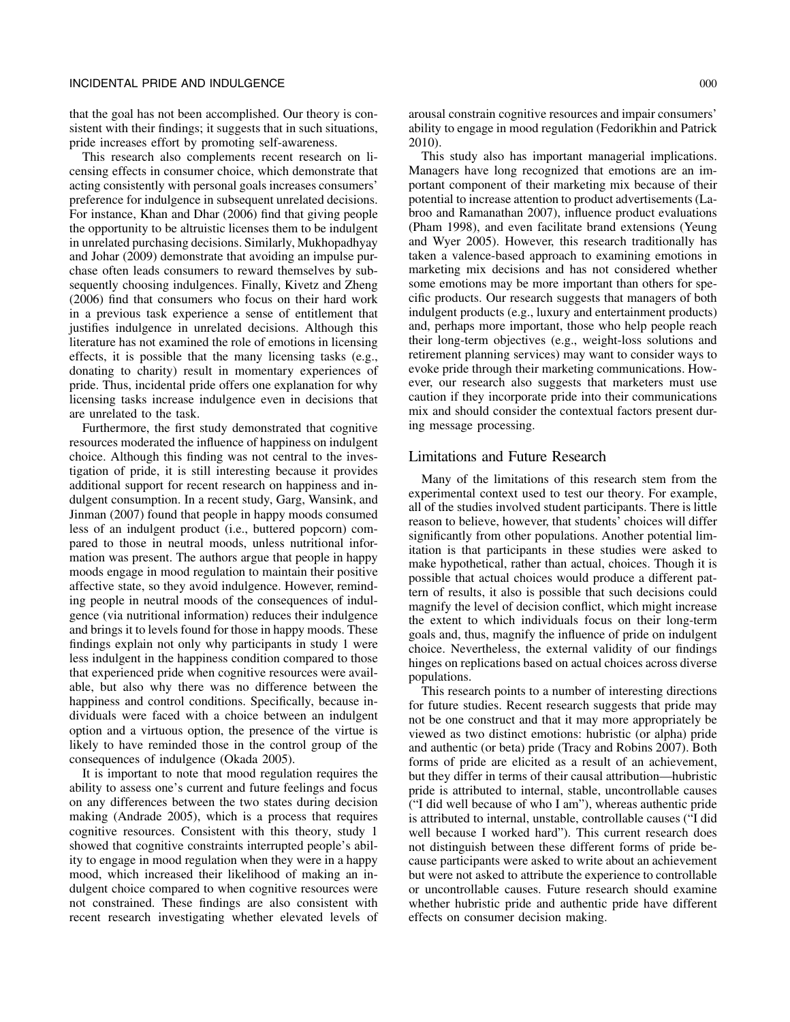that the goal has not been accomplished. Our theory is consistent with their findings; it suggests that in such situations, pride increases effort by promoting self-awareness.

This research also complements recent research on licensing effects in consumer choice, which demonstrate that acting consistently with personal goals increases consumers' preference for indulgence in subsequent unrelated decisions. For instance, Khan and Dhar (2006) find that giving people the opportunity to be altruistic licenses them to be indulgent in unrelated purchasing decisions. Similarly, Mukhopadhyay and Johar (2009) demonstrate that avoiding an impulse purchase often leads consumers to reward themselves by subsequently choosing indulgences. Finally, Kivetz and Zheng (2006) find that consumers who focus on their hard work in a previous task experience a sense of entitlement that justifies indulgence in unrelated decisions. Although this literature has not examined the role of emotions in licensing effects, it is possible that the many licensing tasks (e.g., donating to charity) result in momentary experiences of pride. Thus, incidental pride offers one explanation for why licensing tasks increase indulgence even in decisions that are unrelated to the task.

Furthermore, the first study demonstrated that cognitive resources moderated the influence of happiness on indulgent choice. Although this finding was not central to the investigation of pride, it is still interesting because it provides additional support for recent research on happiness and indulgent consumption. In a recent study, Garg, Wansink, and Jinman (2007) found that people in happy moods consumed less of an indulgent product (i.e., buttered popcorn) compared to those in neutral moods, unless nutritional information was present. The authors argue that people in happy moods engage in mood regulation to maintain their positive affective state, so they avoid indulgence. However, reminding people in neutral moods of the consequences of indulgence (via nutritional information) reduces their indulgence and brings it to levels found for those in happy moods. These findings explain not only why participants in study 1 were less indulgent in the happiness condition compared to those that experienced pride when cognitive resources were available, but also why there was no difference between the happiness and control conditions. Specifically, because individuals were faced with a choice between an indulgent option and a virtuous option, the presence of the virtue is likely to have reminded those in the control group of the consequences of indulgence (Okada 2005).

It is important to note that mood regulation requires the ability to assess one's current and future feelings and focus on any differences between the two states during decision making (Andrade 2005), which is a process that requires cognitive resources. Consistent with this theory, study 1 showed that cognitive constraints interrupted people's ability to engage in mood regulation when they were in a happy mood, which increased their likelihood of making an indulgent choice compared to when cognitive resources were not constrained. These findings are also consistent with recent research investigating whether elevated levels of arousal constrain cognitive resources and impair consumers' ability to engage in mood regulation (Fedorikhin and Patrick 2010).

This study also has important managerial implications. Managers have long recognized that emotions are an important component of their marketing mix because of their potential to increase attention to product advertisements (Labroo and Ramanathan 2007), influence product evaluations (Pham 1998), and even facilitate brand extensions (Yeung and Wyer 2005). However, this research traditionally has taken a valence-based approach to examining emotions in marketing mix decisions and has not considered whether some emotions may be more important than others for specific products. Our research suggests that managers of both indulgent products (e.g., luxury and entertainment products) and, perhaps more important, those who help people reach their long-term objectives (e.g., weight-loss solutions and retirement planning services) may want to consider ways to evoke pride through their marketing communications. However, our research also suggests that marketers must use caution if they incorporate pride into their communications mix and should consider the contextual factors present during message processing.

# Limitations and Future Research

Many of the limitations of this research stem from the experimental context used to test our theory. For example, all of the studies involved student participants. There is little reason to believe, however, that students' choices will differ significantly from other populations. Another potential limitation is that participants in these studies were asked to make hypothetical, rather than actual, choices. Though it is possible that actual choices would produce a different pattern of results, it also is possible that such decisions could magnify the level of decision conflict, which might increase the extent to which individuals focus on their long-term goals and, thus, magnify the influence of pride on indulgent choice. Nevertheless, the external validity of our findings hinges on replications based on actual choices across diverse populations.

This research points to a number of interesting directions for future studies. Recent research suggests that pride may not be one construct and that it may more appropriately be viewed as two distinct emotions: hubristic (or alpha) pride and authentic (or beta) pride (Tracy and Robins 2007). Both forms of pride are elicited as a result of an achievement, but they differ in terms of their causal attribution—hubristic pride is attributed to internal, stable, uncontrollable causes ("I did well because of who I am"), whereas authentic pride is attributed to internal, unstable, controllable causes ("I did well because I worked hard"). This current research does not distinguish between these different forms of pride because participants were asked to write about an achievement but were not asked to attribute the experience to controllable or uncontrollable causes. Future research should examine whether hubristic pride and authentic pride have different effects on consumer decision making.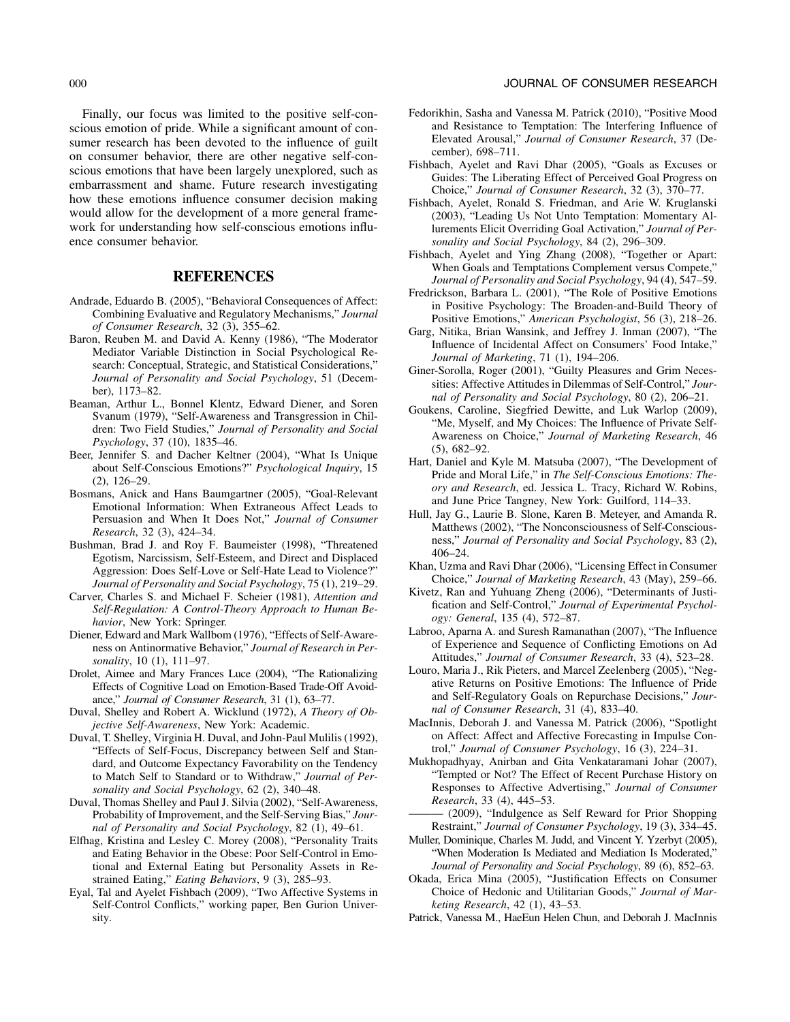Finally, our focus was limited to the positive self-conscious emotion of pride. While a significant amount of consumer research has been devoted to the influence of guilt on consumer behavior, there are other negative self-conscious emotions that have been largely unexplored, such as embarrassment and shame. Future research investigating how these emotions influence consumer decision making would allow for the development of a more general framework for understanding how self-conscious emotions influence consumer behavior.

# **REFERENCES**

- Andrade, Eduardo B. (2005), "Behavioral Consequences of Affect: Combining Evaluative and Regulatory Mechanisms," *Journal of Consumer Research*, 32 (3), 355–62.
- Baron, Reuben M. and David A. Kenny (1986), "The Moderator Mediator Variable Distinction in Social Psychological Research: Conceptual, Strategic, and Statistical Considerations," *Journal of Personality and Social Psychology*, 51 (December), 1173–82.
- Beaman, Arthur L., Bonnel Klentz, Edward Diener, and Soren Svanum (1979), "Self-Awareness and Transgression in Children: Two Field Studies," *Journal of Personality and Social Psychology*, 37 (10), 1835–46.
- Beer, Jennifer S. and Dacher Keltner (2004), "What Is Unique about Self-Conscious Emotions?" *Psychological Inquiry*, 15 (2), 126–29.
- Bosmans, Anick and Hans Baumgartner (2005), "Goal-Relevant Emotional Information: When Extraneous Affect Leads to Persuasion and When It Does Not," *Journal of Consumer Research*, 32 (3), 424–34.
- Bushman, Brad J. and Roy F. Baumeister (1998), "Threatened Egotism, Narcissism, Self-Esteem, and Direct and Displaced Aggression: Does Self-Love or Self-Hate Lead to Violence?" *Journal of Personality and Social Psychology*, 75 (1), 219–29.
- Carver, Charles S. and Michael F. Scheier (1981), *Attention and Self-Regulation: A Control-Theory Approach to Human Behavior*, New York: Springer.
- Diener, Edward and Mark Wallbom (1976), "Effects of Self-Awareness on Antinormative Behavior," *Journal of Research in Personality*, 10 (1), 111–97.
- Drolet, Aimee and Mary Frances Luce (2004), "The Rationalizing Effects of Cognitive Load on Emotion-Based Trade-Off Avoidance," *Journal of Consumer Research*, 31 (1), 63–77.
- Duval, Shelley and Robert A. Wicklund (1972), *A Theory of Objective Self-Awareness*, New York: Academic.
- Duval, T. Shelley, Virginia H. Duval, and John-Paul Mulilis (1992), "Effects of Self-Focus, Discrepancy between Self and Standard, and Outcome Expectancy Favorability on the Tendency to Match Self to Standard or to Withdraw," *Journal of Personality and Social Psychology*, 62 (2), 340–48.
- Duval, Thomas Shelley and Paul J. Silvia (2002), "Self-Awareness, Probability of Improvement, and the Self-Serving Bias," *Journal of Personality and Social Psychology*, 82 (1), 49–61.
- Elfhag, Kristina and Lesley C. Morey (2008), "Personality Traits and Eating Behavior in the Obese: Poor Self-Control in Emotional and External Eating but Personality Assets in Restrained Eating," *Eating Behaviors*, 9 (3), 285–93.
- Eyal, Tal and Ayelet Fishbach (2009), "Two Affective Systems in Self-Control Conflicts," working paper, Ben Gurion University.
- Fedorikhin, Sasha and Vanessa M. Patrick (2010), "Positive Mood and Resistance to Temptation: The Interfering Influence of Elevated Arousal," *Journal of Consumer Research*, 37 (December), 698–711.
- Fishbach, Ayelet and Ravi Dhar (2005), "Goals as Excuses or Guides: The Liberating Effect of Perceived Goal Progress on Choice," *Journal of Consumer Research*, 32 (3), 370–77.
- Fishbach, Ayelet, Ronald S. Friedman, and Arie W. Kruglanski (2003), "Leading Us Not Unto Temptation: Momentary Allurements Elicit Overriding Goal Activation," *Journal of Personality and Social Psychology*, 84 (2), 296–309.
- Fishbach, Ayelet and Ying Zhang (2008), "Together or Apart: When Goals and Temptations Complement versus Compete," *Journal of Personality and Social Psychology*, 94 (4), 547–59.
- Fredrickson, Barbara L. (2001), "The Role of Positive Emotions in Positive Psychology: The Broaden-and-Build Theory of Positive Emotions," *American Psychologist*, 56 (3), 218–26.
- Garg, Nitika, Brian Wansink, and Jeffrey J. Inman (2007), "The Influence of Incidental Affect on Consumers' Food Intake," *Journal of Marketing*, 71 (1), 194–206.
- Giner-Sorolla, Roger (2001), "Guilty Pleasures and Grim Necessities: Affective Attitudes in Dilemmas of Self-Control," *Journal of Personality and Social Psychology*, 80 (2), 206–21.
- Goukens, Caroline, Siegfried Dewitte, and Luk Warlop (2009), "Me, Myself, and My Choices: The Influence of Private Self-Awareness on Choice," *Journal of Marketing Research*, 46 (5), 682–92.
- Hart, Daniel and Kyle M. Matsuba (2007), "The Development of Pride and Moral Life," in *The Self-Conscious Emotions: Theory and Research*, ed. Jessica L. Tracy, Richard W. Robins, and June Price Tangney, New York: Guilford, 114–33.
- Hull, Jay G., Laurie B. Slone, Karen B. Meteyer, and Amanda R. Matthews (2002), "The Nonconsciousness of Self-Consciousness," *Journal of Personality and Social Psychology*, 83 (2), 406–24.
- Khan, Uzma and Ravi Dhar (2006), "Licensing Effect in Consumer Choice," *Journal of Marketing Research*, 43 (May), 259–66.
- Kivetz, Ran and Yuhuang Zheng (2006), "Determinants of Justification and Self-Control," *Journal of Experimental Psychology: General*, 135 (4), 572–87.
- Labroo, Aparna A. and Suresh Ramanathan (2007), "The Influence of Experience and Sequence of Conflicting Emotions on Ad Attitudes," *Journal of Consumer Research*, 33 (4), 523–28.
- Louro, Maria J., Rik Pieters, and Marcel Zeelenberg (2005), "Negative Returns on Positive Emotions: The Influence of Pride and Self-Regulatory Goals on Repurchase Decisions," *Journal of Consumer Research*, 31 (4), 833–40.
- MacInnis, Deborah J. and Vanessa M. Patrick (2006), "Spotlight on Affect: Affect and Affective Forecasting in Impulse Control," *Journal of Consumer Psychology*, 16 (3), 224–31.
- Mukhopadhyay, Anirban and Gita Venkataramani Johar (2007), "Tempted or Not? The Effect of Recent Purchase History on Responses to Affective Advertising," *Journal of Consumer Research*, 33 (4), 445–53.
- (2009), "Indulgence as Self Reward for Prior Shopping Restraint," *Journal of Consumer Psychology*, 19 (3), 334–45.
- Muller, Dominique, Charles M. Judd, and Vincent Y. Yzerbyt (2005), "When Moderation Is Mediated and Mediation Is Moderated," *Journal of Personality and Social Psychology*, 89 (6), 852–63.
- Okada, Erica Mina (2005), "Justification Effects on Consumer Choice of Hedonic and Utilitarian Goods," *Journal of Marketing Research*, 42 (1), 43–53.
- Patrick, Vanessa M., HaeEun Helen Chun, and Deborah J. MacInnis